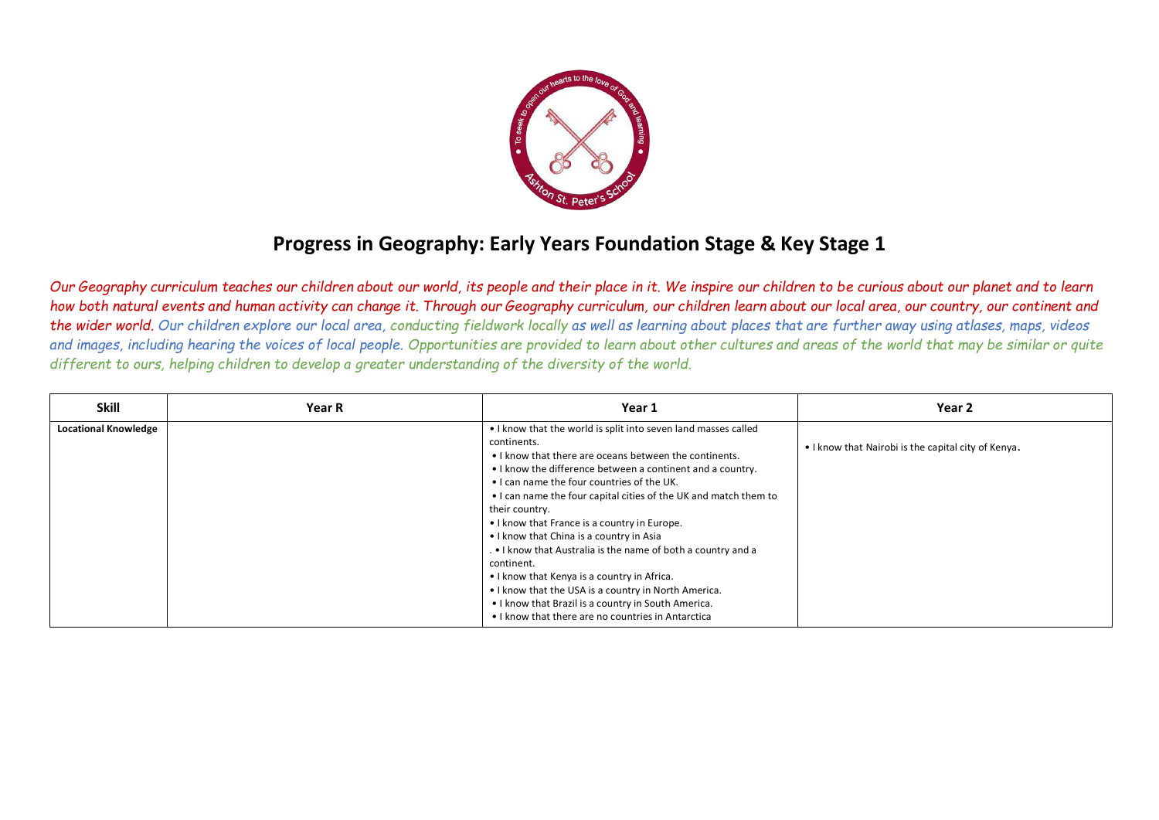

## **Progress in Geography: Early Years Foundation Stage & Key Stage 1**

*Our Geography curriculum teaches our children about our world, its people and their place in it. We inspire our children to be curious about our planet and to learn how both natural events and human activity can change it. Through our Geography curriculum, our children learn about our local area, our country, our continent and the wider world. Our children explore our local area, conducting fieldwork locally as well as learning about places that are further away using atlases, maps, videos and images, including hearing the voices of local people. Opportunities are provided to learn about other cultures and areas of the world that may be similar or quite different to ours, helping children to develop a greater understanding of the diversity of the world.*

| <b>Skill</b>                | Year R | Year 1                                                           | Year 2                                              |
|-----------------------------|--------|------------------------------------------------------------------|-----------------------------------------------------|
| <b>Locational Knowledge</b> |        | . I know that the world is split into seven land masses called   |                                                     |
|                             |        | continents.                                                      | . I know that Nairobi is the capital city of Kenya. |
|                             |        | • I know that there are oceans between the continents.           |                                                     |
|                             |        | • I know the difference between a continent and a country.       |                                                     |
|                             |        | . I can name the four countries of the UK.                       |                                                     |
|                             |        | • I can name the four capital cities of the UK and match them to |                                                     |
|                             |        | their country.                                                   |                                                     |
|                             |        | • I know that France is a country in Europe.                     |                                                     |
|                             |        | • I know that China is a country in Asia                         |                                                     |
|                             |        | . • I know that Australia is the name of both a country and a    |                                                     |
|                             |        | continent.                                                       |                                                     |
|                             |        | • I know that Kenya is a country in Africa.                      |                                                     |
|                             |        | • I know that the USA is a country in North America.             |                                                     |
|                             |        | • I know that Brazil is a country in South America.              |                                                     |
|                             |        | • I know that there are no countries in Antarctica               |                                                     |